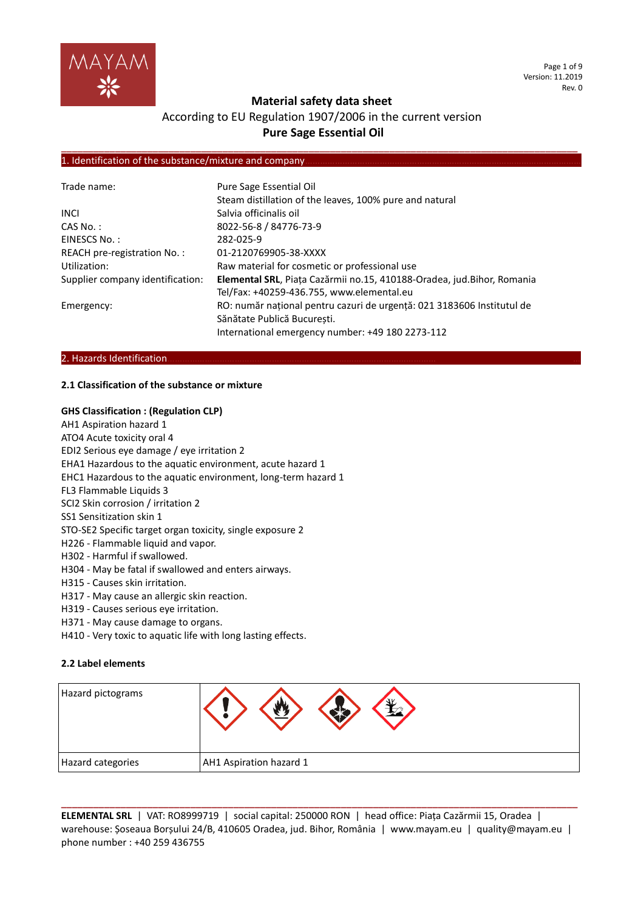

Page 1 of 9 Version: 11.2019 Rev. 0

# **Material safety data sheet**

# According to EU Regulation 1907/2006 in the current version **Pure Sage Essential Oil**

**\_\_\_\_\_\_\_\_\_\_\_\_\_\_\_\_\_\_\_\_\_\_\_\_\_\_\_\_\_\_\_\_\_\_\_\_\_\_\_\_\_\_\_\_\_\_\_\_\_\_\_\_\_\_\_\_\_\_\_\_\_\_\_\_\_\_\_\_\_\_\_\_\_\_\_\_\_\_\_\_\_\_\_\_\_\_\_\_\_\_\_\_\_\_\_\_**

#### 1. Identification of the substance/mixture and company

| Trade name:                      | Pure Sage Essential Oil                                                |  |  |  |
|----------------------------------|------------------------------------------------------------------------|--|--|--|
|                                  | Steam distillation of the leaves, 100% pure and natural                |  |  |  |
| <b>INCL</b>                      | Salvia officinalis oil                                                 |  |  |  |
| CAS No.:                         | 8022-56-8 / 84776-73-9                                                 |  |  |  |
| EINESCS No.:                     | 282-025-9                                                              |  |  |  |
| REACH pre-registration No.:      | 01-2120769905-38-XXXX                                                  |  |  |  |
| Utilization:                     | Raw material for cosmetic or professional use                          |  |  |  |
| Supplier company identification: | Elemental SRL, Piața Cazărmii no.15, 410188-Oradea, jud.Bihor, Romania |  |  |  |
|                                  | Tel/Fax: +40259-436.755, www.elemental.eu                              |  |  |  |
| Emergency:                       | RO: număr național pentru cazuri de urgență: 021 3183606 Institutul de |  |  |  |
|                                  | Sănătate Publică Bucuresti.                                            |  |  |  |
|                                  | International emergency number: +49 180 2273-112                       |  |  |  |

#### 2. Hazards Identification.

#### **2.1 Classification of the substance or mixture**

#### **GHS Classification : (Regulation CLP)**

- AH1 Aspiration hazard 1 ATO4 Acute toxicity oral 4 EDI2 Serious eye damage / eye irritation 2 EHA1 Hazardous to the aquatic environment, acute hazard 1 EHC1 Hazardous to the aquatic environment, long-term hazard 1 FL3 Flammable Liquids 3 SCI2 Skin corrosion / irritation 2 SS1 Sensitization skin 1 STO-SE2 Specific target organ toxicity, single exposure 2 H226 - Flammable liquid and vapor. H302 - Harmful if swallowed. H304 - May be fatal if swallowed and enters airways. H315 - Causes skin irritation. H317 - May cause an allergic skin reaction. H319 - Causes serious eye irritation. H371 - May cause damage to organs.
- H410 Very toxic to aquatic life with long lasting effects.

#### **2.2 Label elements**

| Hazard pictograms |                         |
|-------------------|-------------------------|
| Hazard categories | AH1 Aspiration hazard 1 |

**ELEMENTAL SRL** | VAT: RO8999719 | social capital: 250000 RON | head office: Piața Cazărmii 15, Oradea | warehouse: Șoseaua Borșului 24/B, 410605 Oradea, jud. Bihor, România | www.mayam.eu | quality@mayam.eu | phone number : +40 259 436755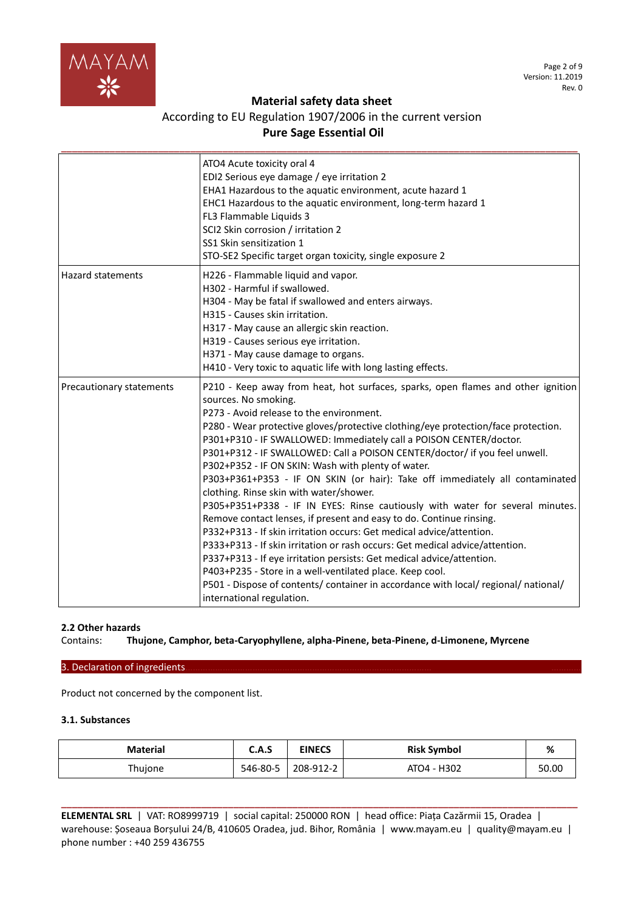

# According to EU Regulation 1907/2006 in the current version **Pure Sage Essential Oil**

|                          | ATO4 Acute toxicity oral 4<br>EDI2 Serious eye damage / eye irritation 2<br>EHA1 Hazardous to the aquatic environment, acute hazard 1<br>EHC1 Hazardous to the aquatic environment, long-term hazard 1<br>FL3 Flammable Liquids 3<br>SCI2 Skin corrosion / irritation 2<br>SS1 Skin sensitization 1<br>STO-SE2 Specific target organ toxicity, single exposure 2                                                                                                                                                                                                                                                                                                                                                                                                                                                                                                                                                                                                                                                                                                                                                                                        |
|--------------------------|---------------------------------------------------------------------------------------------------------------------------------------------------------------------------------------------------------------------------------------------------------------------------------------------------------------------------------------------------------------------------------------------------------------------------------------------------------------------------------------------------------------------------------------------------------------------------------------------------------------------------------------------------------------------------------------------------------------------------------------------------------------------------------------------------------------------------------------------------------------------------------------------------------------------------------------------------------------------------------------------------------------------------------------------------------------------------------------------------------------------------------------------------------|
| <b>Hazard statements</b> | H226 - Flammable liquid and vapor.<br>H302 - Harmful if swallowed.<br>H304 - May be fatal if swallowed and enters airways.<br>H315 - Causes skin irritation.<br>H317 - May cause an allergic skin reaction.<br>H319 - Causes serious eye irritation.<br>H371 - May cause damage to organs.<br>H410 - Very toxic to aquatic life with long lasting effects.                                                                                                                                                                                                                                                                                                                                                                                                                                                                                                                                                                                                                                                                                                                                                                                              |
| Precautionary statements | P210 - Keep away from heat, hot surfaces, sparks, open flames and other ignition<br>sources. No smoking.<br>P273 - Avoid release to the environment.<br>P280 - Wear protective gloves/protective clothing/eye protection/face protection.<br>P301+P310 - IF SWALLOWED: Immediately call a POISON CENTER/doctor.<br>P301+P312 - IF SWALLOWED: Call a POISON CENTER/doctor/ if you feel unwell.<br>P302+P352 - IF ON SKIN: Wash with plenty of water.<br>P303+P361+P353 - IF ON SKIN (or hair): Take off immediately all contaminated<br>clothing. Rinse skin with water/shower.<br>P305+P351+P338 - IF IN EYES: Rinse cautiously with water for several minutes.<br>Remove contact lenses, if present and easy to do. Continue rinsing.<br>P332+P313 - If skin irritation occurs: Get medical advice/attention.<br>P333+P313 - If skin irritation or rash occurs: Get medical advice/attention.<br>P337+P313 - If eye irritation persists: Get medical advice/attention.<br>P403+P235 - Store in a well-ventilated place. Keep cool.<br>P501 - Dispose of contents/ container in accordance with local/ regional/ national/<br>international regulation. |

# **2.2 Other hazards**

Contains: **Thujone, Camphor, beta-Caryophyllene, alpha-Pinene, beta-Pinene, d-Limonene, Myrcene**

### 3. Declaration of ingredients.

Product not concerned by the component list.

# **3.1. Substances**

| <b>Material</b> | C.A.S    | <b>EINECS</b> | <b>Risk Symbol</b> | %     |
|-----------------|----------|---------------|--------------------|-------|
| Thujone         | 546-80-5 | 208-912-2     | ATO4 - H302        | 50.00 |

**ELEMENTAL SRL** | VAT: RO8999719 | social capital: 250000 RON | head office: Piața Cazărmii 15, Oradea | warehouse: Șoseaua Borșului 24/B, 410605 Oradea, jud. Bihor, România | www.mayam.eu | quality@mayam.eu | phone number : +40 259 436755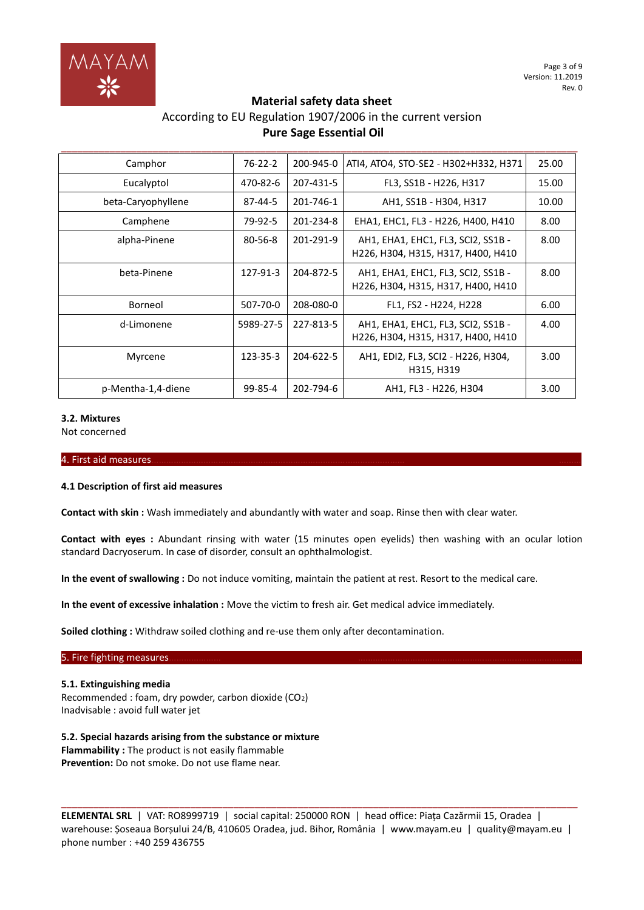

# According to EU Regulation 1907/2006 in the current version **Pure Sage Essential Oil**

**\_\_\_\_\_\_\_\_\_\_\_\_\_\_\_\_\_\_\_\_\_\_\_\_\_\_\_\_\_\_\_\_\_\_\_\_\_\_\_\_\_\_\_\_\_\_\_\_\_\_\_\_\_\_\_\_\_\_\_\_\_\_\_\_\_\_\_\_\_\_\_\_\_\_\_\_\_\_\_\_\_\_\_\_\_\_\_\_\_\_\_\_\_\_\_\_**

| Camphor            | $76-22-2$     | 200-945-0 | ATI4, ATO4, STO-SE2 - H302+H332, H371                                    | 25.00 |
|--------------------|---------------|-----------|--------------------------------------------------------------------------|-------|
| Eucalyptol         | 470-82-6      | 207-431-5 | FL3, SS1B - H226, H317                                                   | 15.00 |
| beta-Caryophyllene | 87-44-5       | 201-746-1 | AH1, SS1B - H304, H317                                                   | 10.00 |
| Camphene           | 79-92-5       | 201-234-8 | EHA1, EHC1, FL3 - H226, H400, H410                                       | 8.00  |
| alpha-Pinene       | $80 - 56 - 8$ | 201-291-9 | AH1, EHA1, EHC1, FL3, SCI2, SS1B -<br>H226, H304, H315, H317, H400, H410 | 8.00  |
| beta-Pinene        | 127-91-3      | 204-872-5 | AH1, EHA1, EHC1, FL3, SCI2, SS1B -<br>H226, H304, H315, H317, H400, H410 | 8.00  |
| Borneol            | 507-70-0      | 208-080-0 | FL1, FS2 - H224, H228                                                    | 6.00  |
| d-Limonene         | 5989-27-5     | 227-813-5 | AH1, EHA1, EHC1, FL3, SCI2, SS1B -<br>H226, H304, H315, H317, H400, H410 | 4.00  |
| Myrcene            | 123-35-3      | 204-622-5 | AH1, EDI2, FL3, SCI2 - H226, H304,<br>H315, H319                         | 3.00  |
| p-Mentha-1,4-diene | 99-85-4       | 202-794-6 | AH1, FL3 - H226, H304                                                    | 3.00  |

# **3.2. Mixtures**

Not concerned

#### 4. First aid measures………………………………………………………………………………………… ………

#### **4.1 Description of first aid measures**

**Contact with skin :** Wash immediately and abundantly with water and soap. Rinse then with clear water.

**Contact with eyes :** Abundant rinsing with water (15 minutes open eyelids) then washing with an ocular lotion standard Dacryoserum. In case of disorder, consult an ophthalmologist.

**In the event of swallowing :** Do not induce vomiting, maintain the patient at rest. Resort to the medical care.

**In the event of excessive inhalation :** Move the victim to fresh air. Get medical advice immediately.

**Soiled clothing :** Withdraw soiled clothing and re-use them only after decontamination.

#### 5. Fire fighting measures.

**5.1. Extinguishing media** Recommended : foam, dry powder, carbon dioxide (CO2) Inadvisable : avoid full water jet

**5.2. Special hazards arising from the substance or mixture Flammability :** The product is not easily flammable **Prevention:** Do not smoke. Do not use flame near.

**ELEMENTAL SRL** | VAT: RO8999719 | social capital: 250000 RON | head office: Piața Cazărmii 15, Oradea | warehouse: Șoseaua Borșului 24/B, 410605 Oradea, jud. Bihor, România | www.mayam.eu | quality@mayam.eu | phone number : +40 259 436755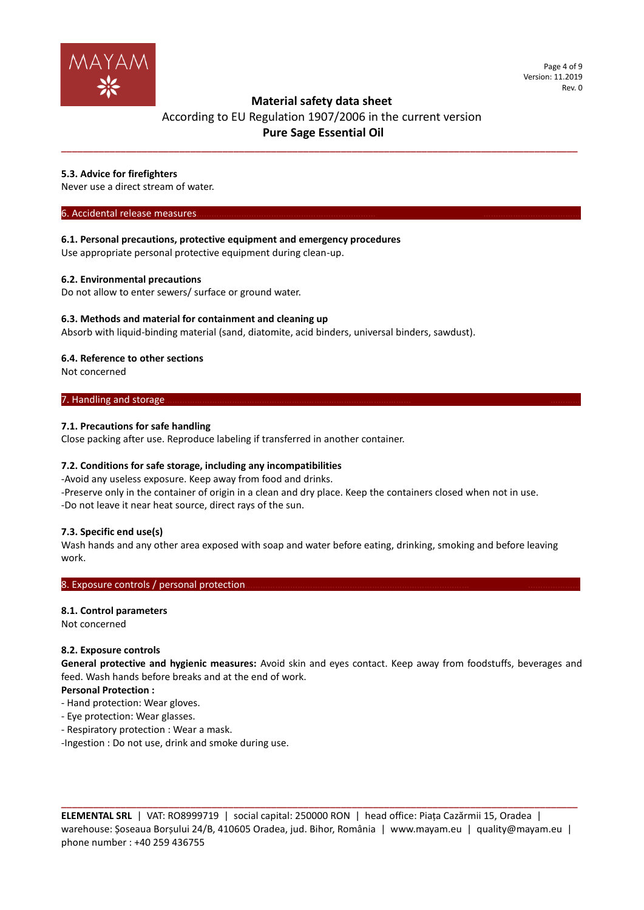

Page 4 of 9 Version: 11.2019 Rev. 0

# **Material safety data sheet**

# According to EU Regulation 1907/2006 in the current version **Pure Sage Essential Oil**

**\_\_\_\_\_\_\_\_\_\_\_\_\_\_\_\_\_\_\_\_\_\_\_\_\_\_\_\_\_\_\_\_\_\_\_\_\_\_\_\_\_\_\_\_\_\_\_\_\_\_\_\_\_\_\_\_\_\_\_\_\_\_\_\_\_\_\_\_\_\_\_\_\_\_\_\_\_\_\_\_\_\_\_\_\_\_\_\_\_\_\_\_\_\_\_\_**

# **5.3. Advice for firefighters**

Never use a direct stream of water.

#### 6. Accidental release measures.

**6.1. Personal precautions, protective equipment and emergency procedures**

Use appropriate personal protective equipment during clean-up.

# **6.2. Environmental precautions**

Do not allow to enter sewers/ surface or ground water.

# **6.3. Methods and material for containment and cleaning up**

Absorb with liquid-binding material (sand, diatomite, acid binders, universal binders, sawdust).

# **6.4. Reference to other sections**

Not concerned

# 7. Handling and storage.

# **7.1. Precautions for safe handling**

Close packing after use. Reproduce labeling if transferred in another container.

# **7.2. Conditions for safe storage, including any incompatibilities**

-Avoid any useless exposure. Keep away from food and drinks. -Preserve only in the container of origin in a clean and dry place. Keep the containers closed when not in use.

-Do not leave it near heat source, direct rays of the sun.

# **7.3. Specific end use(s)**

Wash hands and any other area exposed with soap and water before eating, drinking, smoking and before leaving work.

#### 8. Exposure controls / personal protection.

# **8.1. Control parameters**

Not concerned

# **8.2. Exposure controls**

**General protective and hygienic measures:** Avoid skin and eyes contact. Keep away from foodstuffs, beverages and feed. Wash hands before breaks and at the end of work.

# **Personal Protection :**

- Hand protection: Wear gloves.
- Eye protection: Wear glasses.
- Respiratory protection : Wear a mask.

-Ingestion : Do not use, drink and smoke during use.

**ELEMENTAL SRL** | VAT: RO8999719 | social capital: 250000 RON | head office: Piața Cazărmii 15, Oradea | warehouse: Șoseaua Borșului 24/B, 410605 Oradea, jud. Bihor, România | www.mayam.eu | quality@mayam.eu | phone number : +40 259 436755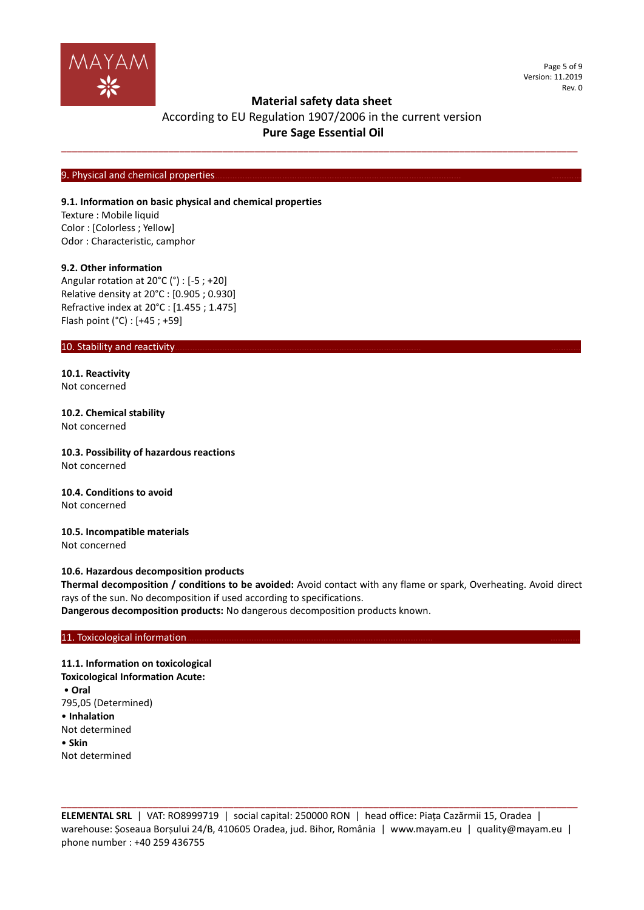

Page 5 of 9 Version: 11.2019 Rev. 0

# **Material safety data sheet**

# According to EU Regulation 1907/2006 in the current version **Pure Sage Essential Oil**

**\_\_\_\_\_\_\_\_\_\_\_\_\_\_\_\_\_\_\_\_\_\_\_\_\_\_\_\_\_\_\_\_\_\_\_\_\_\_\_\_\_\_\_\_\_\_\_\_\_\_\_\_\_\_\_\_\_\_\_\_\_\_\_\_\_\_\_\_\_\_\_\_\_\_\_\_\_\_\_\_\_\_\_\_\_\_\_\_\_\_\_\_\_\_\_\_**

#### 9. Physical and chemical properties

#### **9.1. Information on basic physical and chemical properties**

Texture : Mobile liquid Color : [Colorless ; Yellow] Odor : Characteristic, camphor

#### **9.2. Other information**

Angular rotation at 20°C (°) : [-5 ; +20] Relative density at 20°C : [0.905 ; 0.930] Refractive index at 20°C : [1.455 ; 1.475] Flash point (°C) : [+45 ; +59]

### 10. Stability and reactivity

**10.1. Reactivity** Not concerned

**10.2. Chemical stability** Not concerned

**10.3. Possibility of hazardous reactions** Not concerned

**10.4. Conditions to avoid** Not concerned

**10.5. Incompatible materials** Not concerned

#### **10.6. Hazardous decomposition products**

**Thermal decomposition / conditions to be avoided:** Avoid contact with any flame or spark, Overheating. Avoid direct rays of the sun. No decomposition if used according to specifications.

**Dangerous decomposition products:** No dangerous decomposition products known.

#### 11. Toxicological information.

**11.1. Information on toxicological Toxicological Information Acute:** • **Oral** 795,05 (Determined) • **Inhalation** Not determined • **Skin** Not determined

**ELEMENTAL SRL** | VAT: RO8999719 | social capital: 250000 RON | head office: Piața Cazărmii 15, Oradea | warehouse: Șoseaua Borșului 24/B, 410605 Oradea, jud. Bihor, România | www.mayam.eu | quality@mayam.eu | phone number : +40 259 436755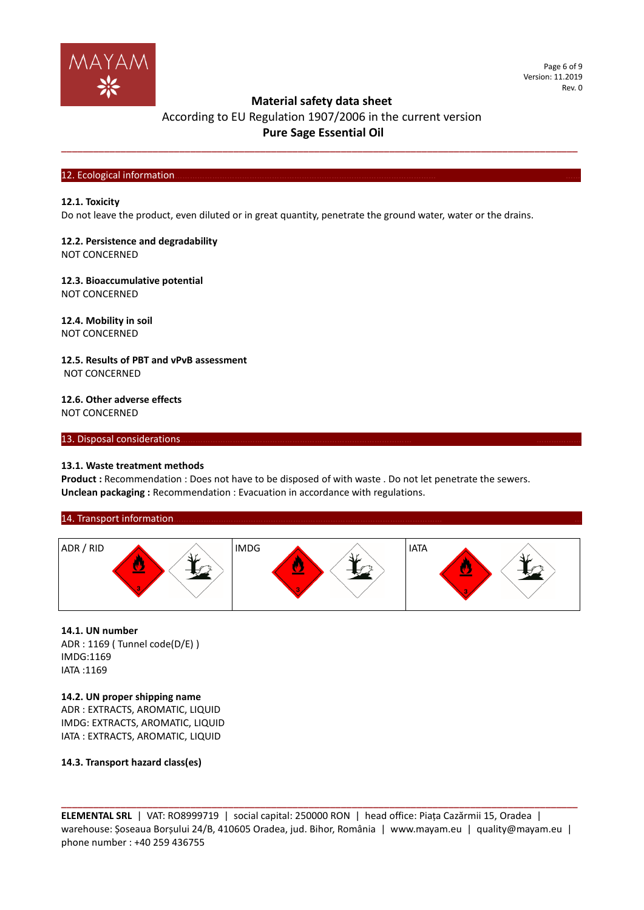

# According to EU Regulation 1907/2006 in the current version **Pure Sage Essential Oil**

**\_\_\_\_\_\_\_\_\_\_\_\_\_\_\_\_\_\_\_\_\_\_\_\_\_\_\_\_\_\_\_\_\_\_\_\_\_\_\_\_\_\_\_\_\_\_\_\_\_\_\_\_\_\_\_\_\_\_\_\_\_\_\_\_\_\_\_\_\_\_\_\_\_\_\_\_\_\_\_\_\_\_\_\_\_\_\_\_\_\_\_\_\_\_\_\_**

#### 12. Ecological information

#### **12.1. Toxicity**

Do not leave the product, even diluted or in great quantity, penetrate the ground water, water or the drains.

### **12.2. Persistence and degradability** NOT CONCERNED

#### **12.3. Bioaccumulative potential** NOT CONCERNED

**12.4. Mobility in soil** NOT CONCERNED

**12.5. Results of PBT and vPvB assessment** NOT CONCERNED

**12.6. Other adverse effects** NOT CONCERNED

#### 13. Disposal considerations

# **13.1. Waste treatment methods**

Product : Recommendation : Does not have to be disposed of with waste . Do not let penetrate the sewers. **Unclean packaging :** Recommendation : Evacuation in accordance with regulations.





**14.1. UN number** ADR : 1169 ( Tunnel code(D/E) ) IMDG:1169 IATA :1169

**14.2. UN proper shipping name** ADR : EXTRACTS, AROMATIC, LIQUID IMDG: EXTRACTS, AROMATIC, LIQUID IATA : EXTRACTS, AROMATIC, LIQUID

### **14.3. Transport hazard class(es)**

**ELEMENTAL SRL** | VAT: RO8999719 | social capital: 250000 RON | head office: Piața Cazărmii 15, Oradea | warehouse: Șoseaua Borșului 24/B, 410605 Oradea, jud. Bihor, România | www.mayam.eu | quality@mayam.eu | phone number : +40 259 436755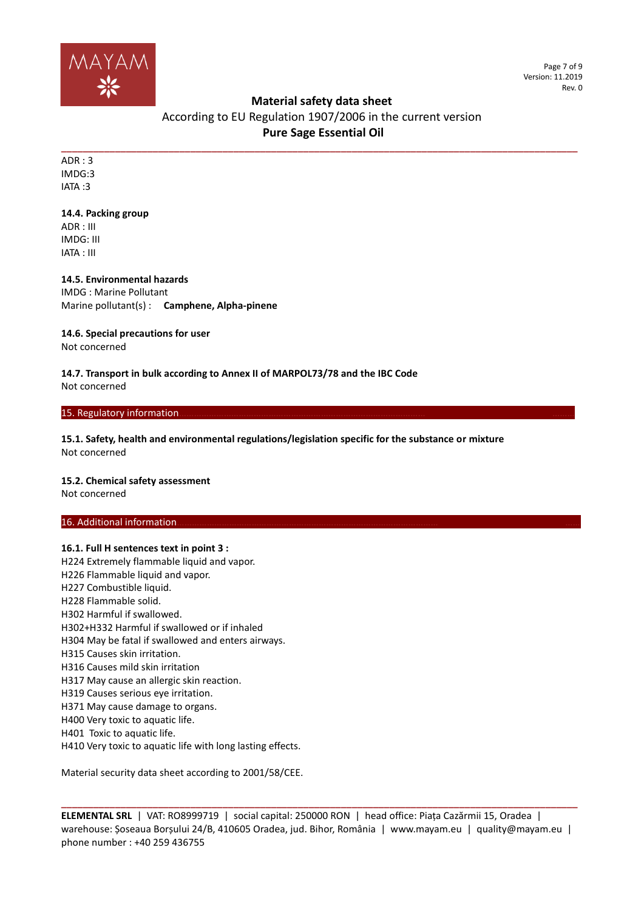

Page 7 of 9 Version: 11.2019 Rev. 0

# **Material safety data sheet**

According to EU Regulation 1907/2006 in the current version **Pure Sage Essential Oil** 

**\_\_\_\_\_\_\_\_\_\_\_\_\_\_\_\_\_\_\_\_\_\_\_\_\_\_\_\_\_\_\_\_\_\_\_\_\_\_\_\_\_\_\_\_\_\_\_\_\_\_\_\_\_\_\_\_\_\_\_\_\_\_\_\_\_\_\_\_\_\_\_\_\_\_\_\_\_\_\_\_\_\_\_\_\_\_\_\_\_\_\_\_\_\_\_\_** ADR : 3 IMDG:3 IATA :3

### **14.4. Packing group**

ADR : III IMDG: III IATA : III

# **14.5. Environmental hazards**

IMDG : Marine Pollutant Marine pollutant(s) : **Camphene, Alpha-pinene**

# **14.6. Special precautions for user**

Not concerned

#### **14.7. Transport in bulk according to Annex II of MARPOL73/78 and the IBC Code** Not concerned

15. Regulatory information

**15.1. Safety, health and environmental regulations/legislation specific for the substance or mixture** Not concerned

# **15.2. Chemical safety assessment**

Not concerned

# 16. Additional information

**16.1. Full H sentences text in point 3 :** H224 Extremely flammable liquid and vapor. H226 Flammable liquid and vapor. H227 Combustible liquid. H228 Flammable solid. H302 Harmful if swallowed. H302+H332 Harmful if swallowed or if inhaled H304 May be fatal if swallowed and enters airways. H315 Causes skin irritation. H316 Causes mild skin irritation H317 May cause an allergic skin reaction. H319 Causes serious eye irritation. H371 May cause damage to organs. H400 Very toxic to aquatic life. H401 Toxic to aquatic life. H410 Very toxic to aquatic life with long lasting effects.

Material security data sheet according to 2001/58/CEE.

**ELEMENTAL SRL** | VAT: RO8999719 | social capital: 250000 RON | head office: Piața Cazărmii 15, Oradea | warehouse: Șoseaua Borșului 24/B, 410605 Oradea, jud. Bihor, România | www.mayam.eu | quality@mayam.eu | phone number : +40 259 436755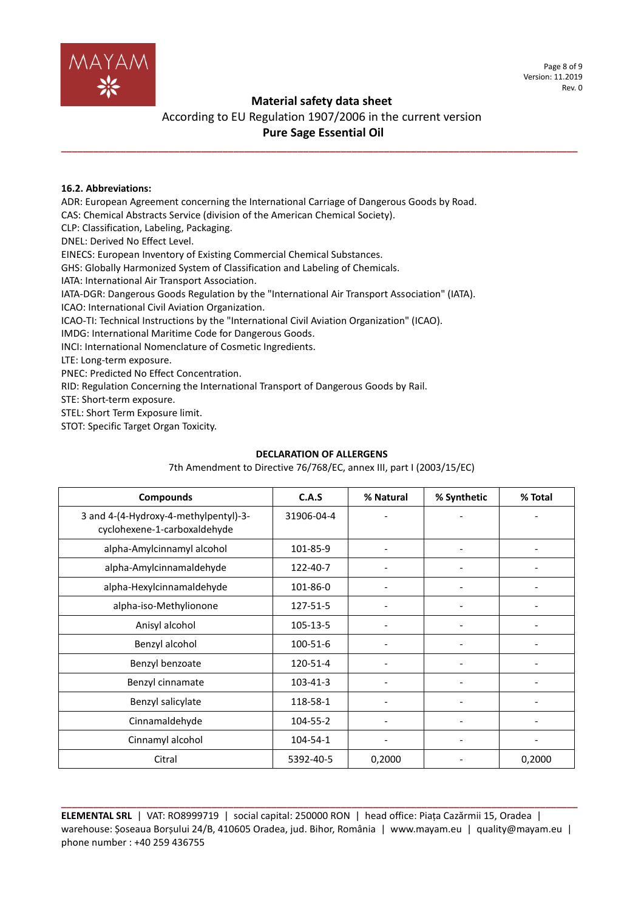

Page 8 of 9 Version: 11.2019 Rev. 0

# **Material safety data sheet**

# According to EU Regulation 1907/2006 in the current version **Pure Sage Essential Oil**

**\_\_\_\_\_\_\_\_\_\_\_\_\_\_\_\_\_\_\_\_\_\_\_\_\_\_\_\_\_\_\_\_\_\_\_\_\_\_\_\_\_\_\_\_\_\_\_\_\_\_\_\_\_\_\_\_\_\_\_\_\_\_\_\_\_\_\_\_\_\_\_\_\_\_\_\_\_\_\_\_\_\_\_\_\_\_\_\_\_\_\_\_\_\_\_\_**

### **16.2. Abbreviations:**

ADR: European Agreement concerning the International Carriage of Dangerous Goods by Road.

CAS: Chemical Abstracts Service (division of the American Chemical Society).

CLP: Classification, Labeling, Packaging.

DNEL: Derived No Effect Level.

EINECS: European Inventory of Existing Commercial Chemical Substances.

GHS: Globally Harmonized System of Classification and Labeling of Chemicals.

IATA: International Air Transport Association.

IATA-DGR: Dangerous Goods Regulation by the "International Air Transport Association" (IATA).

ICAO: International Civil Aviation Organization.

ICAO-TI: Technical Instructions by the "International Civil Aviation Organization" (ICAO).

IMDG: International Maritime Code for Dangerous Goods.

INCI: International Nomenclature of Cosmetic Ingredients.

LTE: Long-term exposure.

PNEC: Predicted No Effect Concentration.

RID: Regulation Concerning the International Transport of Dangerous Goods by Rail.

STE: Short-term exposure.

STEL: Short Term Exposure limit.

STOT: Specific Target Organ Toxicity.

# **DECLARATION OF ALLERGENS**

**Compounds C.A.S % Natural % Synthetic % Total** 3 and 4-(4-Hydroxy-4-methylpentyl)-3 cyclohexene-1-carboxaldehyde 31906-04-4 alpha-Amylcinnamyl alcohol  $\vert$  101-85-9 -  $\vert$  -  $\vert$  -  $\vert$  alpha-Amylcinnamaldehyde 122-40-7 - - alpha-Hexylcinnamaldehyde  $\vert$  101-86-0 -  $\vert$  -  $\vert$  -  $\vert$ alpha-iso-Methylionone  $\vert$  127-51-5  $\vert$  -  $\vert$  -Anisyl alcohol 105-13-5 - - - Benzyl alcohol 100-51-6 - - - Benzyl benzoate  $120-51-4$   $-$ Benzyl cinnamate 103-41-3 - - - Benzyl salicylate 118-58-1 - - -  $C$ innamaldehyde  $104-55-2$  -Cinnamyl alcohol 104-54-1 - - - Citral 5392-40-5 0,2000 - 0,2000

7th Amendment to Directive 76/768/EC, annex III, part I (2003/15/EC)

**ELEMENTAL SRL** | VAT: RO8999719 | social capital: 250000 RON | head office: Piața Cazărmii 15, Oradea | warehouse: Șoseaua Borșului 24/B, 410605 Oradea, jud. Bihor, România | www.mayam.eu | quality@mayam.eu | phone number : +40 259 436755